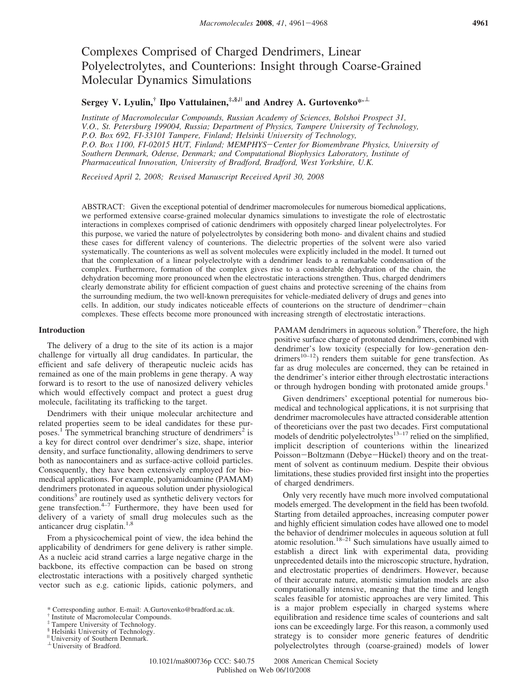# Complexes Comprised of Charged Dendrimers, Linear Polyelectrolytes, and Counterions: Insight through Coarse-Grained Molecular Dynamics Simulations

## **Sergey V. Lyulin,† Ilpo Vattulainen,‡,§,**<sup>|</sup> **and Andrey A. Gurtovenko\*,**<sup>⊥</sup>

*Institute of Macromolecular Compounds, Russian Academy of Sciences, Bolshoi Prospect 31, V.O., St. Petersburg 199004, Russia; Department of Physics, Tampere University of Technology, P.O. Box 692, FI-33101 Tampere, Finland; Helsinki University of Technology, P.O. Box 1100, FI-02015 HUT, Finland; MEMPHYS-Center for Biomembrane Physics, University of Southern Denmark, Odense, Denmark; and Computational Biophysics Laboratory, Institute of Pharmaceutical Innovation, University of Bradford, Bradford, West Yorkshire, U.K.* 

*Recei*V*ed April 2, 2008; Re*V*ised Manuscript Recei*V*ed April 30, 2008*

ABSTRACT: Given the exceptional potential of dendrimer macromolecules for numerous biomedical applications, we performed extensive coarse-grained molecular dynamics simulations to investigate the role of electrostatic interactions in complexes comprised of cationic dendrimers with oppositely charged linear polyelectrolytes. For this purpose, we varied the nature of polyelectrolytes by considering both mono- and divalent chains and studied these cases for different valency of counterions. The dielectric properties of the solvent were also varied systematically. The counterions as well as solvent molecules were explicitly included in the model. It turned out that the complexation of a linear polyelectrolyte with a dendrimer leads to a remarkable condensation of the complex. Furthermore, formation of the complex gives rise to a considerable dehydration of the chain, the dehydration becoming more pronounced when the electrostatic interactions strengthen. Thus, charged dendrimers clearly demonstrate ability for efficient compaction of guest chains and protective screening of the chains from the surrounding medium, the two well-known prerequisites for vehicle-mediated delivery of drugs and genes into cells. In addition, our study indicates noticeable effects of counterions on the structure of dendrimer-chain complexes. These effects become more pronounced with increasing strength of electrostatic interactions.

#### **Introduction**

The delivery of a drug to the site of its action is a major challenge for virtually all drug candidates. In particular, the efficient and safe delivery of therapeutic nucleic acids has remained as one of the main problems in gene therapy. A way forward is to resort to the use of nanosized delivery vehicles which would effectively compact and protect a guest drug molecule, facilitating its trafficking to the target.

Dendrimers with their unique molecular architecture and related properties seem to be ideal candidates for these purposes.<sup>1</sup> The symmetrical branching structure of dendrimers<sup>2</sup> is a key for direct control over dendrimer's size, shape, interior density, and surface functionality, allowing dendrimers to serve both as nanocontainers and as surface-active colloid particles. Consequently, they have been extensively employed for biomedical applications. For example, polyamidoamine (PAMAM) dendrimers protonated in aqueous solution under physiological conditions<sup>3</sup> are routinely used as synthetic delivery vectors for gene transfection. $4\frac{1}{7}$  Furthermore, they have been used for delivery of a variety of small drug molecules such as the anticancer drug cisplatin.<sup>1,8</sup>

From a physicochemical point of view, the idea behind the applicability of dendrimers for gene delivery is rather simple. As a nucleic acid strand carries a large negative charge in the backbone, its effective compaction can be based on strong electrostatic interactions with a positively charged synthetic vector such as e.g. cationic lipids, cationic polymers, and

PAMAM dendrimers in aqueous solution.<sup>9</sup> Therefore, the high positive surface charge of protonated dendrimers, combined with dendrimer's low toxicity (especially for low-generation dendrimers<sup>10–12</sup>) renders them suitable for gene transfection. As far as drug molecules are concerned, they can be retained in the dendrimer's interior either through electrostatic interactions or through hydrogen bonding with protonated amide groups.<sup>1</sup>

Given dendrimers' exceptional potential for numerous biomedical and technological applications, it is not surprising that dendrimer macromolecules have attracted considerable attention of theoreticians over the past two decades. First computational models of dendritic polyelectrolytes $13-17$  relied on the simplified, implicit description of counterions within the linearized Poisson-Boltzmann (Debye-Hückel) theory and on the treatment of solvent as continuum medium. Despite their obvious limitations, these studies provided first insight into the properties of charged dendrimers.

Only very recently have much more involved computational models emerged. The development in the field has been twofold. Starting from detailed approaches, increasing computer power and highly efficient simulation codes have allowed one to model the behavior of dendrimer molecules in aqueous solution at full atomic resolution.18–21 Such simulations have usually aimed to establish a direct link with experimental data, providing unprecedented details into the microscopic structure, hydration, and electrostatic properties of dendrimers. However, because of their accurate nature, atomistic simulation models are also computationally intensive, meaning that the time and length scales feasible for atomistic approaches are very limited. This is a major problem especially in charged systems where equilibration and residence time scales of counterions and salt ions can be exceedingly large. For this reason, a commonly used strategy is to consider more generic features of dendritic polyelectrolytes through (coarse-grained) models of lower

10.1021/ma800736p CCC: \$40.75 2008 American Chemical Society Published on Web 06/10/2008

<sup>\*</sup> Corresponding author. E-mail: A.Gurtovenko@bradford.ac.uk.

<sup>†</sup> Institute of Macromolecular Compounds. ‡ Tampere University of Technology. § Helsinki University of Technology. <sup>|</sup>

University of Southern Denmark.

<sup>⊥</sup> University of Bradford.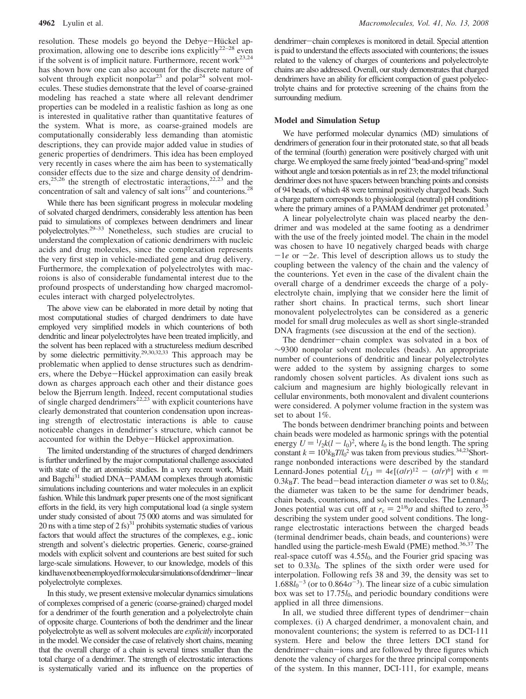resolution. These models go beyond the Debye-Hückel approximation, allowing one to describe ions explicitly<sup>22–28</sup> even if the solvent is of implicit nature. Furthermore, recent work $^{23,24}$ has shown how one can also account for the discrete nature of solvent through explicit nonpolar<sup>23</sup> and polar<sup>24</sup> solvent molecules. These studies demonstrate that the level of coarse-grained modeling has reached a state where all relevant dendrimer properties can be modeled in a realistic fashion as long as one is interested in qualitative rather than quantitative features of the system. What is more, as coarse-grained models are computationally considerably less demanding than atomistic descriptions, they can provide major added value in studies of generic properties of dendrimers. This idea has been employed very recently in cases where the aim has been to systematically consider effects due to the size and charge density of dendrim $ers,^{25,26}$  the strength of electrostatic interactions,<sup>22,23</sup> and the concentration of salt and valency of salt ions<sup>27</sup> and counterions.<sup>28</sup>

While there has been significant progress in molecular modeling of solvated charged dendrimers, considerably less attention has been paid to simulations of complexes between dendrimers and linear polyelectrolytes.29–33 Nonetheless, such studies are crucial to understand the complexation of cationic dendrimers with nucleic acids and drug molecules, since the complexation represents the very first step in vehicle-mediated gene and drug delivery. Furthermore, the complexation of polyelectrolytes with macroions is also of considerable fundamental interest due to the profound prospects of understanding how charged macromolecules interact with charged polyelectrolytes.

The above view can be elaborated in more detail by noting that most computational studies of charged dendrimers to date have employed very simplified models in which counterions of both dendritic and linear polyelectrolytes have been treated implicitly, and the solvent has been replaced with a structureless medium described by some dielectric permittivity.29,30,32,33 This approach may be problematic when applied to dense structures such as dendrimers, where the Debye-Hückel approximation can easily break down as charges approach each other and their distance goes below the Bjerrum length. Indeed, recent computational studies of single charged dendrimers<sup>22,23</sup> with explicit counterions have clearly demonstrated that counterion condensation upon increasing strength of electrostatic interactions is able to cause noticeable changes in dendrimer's structure, which cannot be accounted for within the Debye-Hückel approximation.

The limited understanding of the structures of charged dendrimers is further underlined by the major computational challenge associated with state of the art atomistic studies. In a very recent work, Maiti and Bagchi<sup>31</sup> studied DNA-PAMAM complexes through atomistic simulations including counterions and water molecules in an explicit fashion. While this landmark paper presents one of the most significant efforts in the field, its very high computational load (a single system under study consisted of about 75 000 atoms and was simulated for 20 ns with a time step of  $2 \text{ fs}$ )<sup>31</sup> prohibits systematic studies of various factors that would affect the structures of the complexes, e.g., ionic strength and solvent's dielectric properties. Generic, coarse-grained models with explicit solvent and counterions are best suited for such large-scale simulations. However, to our knowledge, models of this kindhavenotbeenemployedformolecularsimulationsofdendrimer-linear polyelectrolyte complexes.

In this study, we present extensive molecular dynamics simulations of complexes comprised of a generic (coarse-grained) charged model for a dendrimer of the fourth generation and a polyelectrolyte chain of opposite charge. Counterions of both the dendrimer and the linear polyelectrolyte as well as solvent molecules are *explicitly* incorporated in the model. We consider the case of relatively short chains, meaning that the overall charge of a chain is several times smaller than the total charge of a dendrimer. The strength of electrostatic interactions is systematically varied and its influence on the properties of dendrimer-chain complexes is monitored in detail. Special attention is paid to understand the effects associated with counterions; the issues related to the valency of charges of counterions and polyelectrolyte chains are also addressed. Overall, our study demonstrates that charged dendrimers have an ability for efficient compaction of guest polyelectrolyte chains and for protective screening of the chains from the surrounding medium.

#### **Model and Simulation Setup**

We have performed molecular dynamics (MD) simulations of dendrimers of generation four in their protonated state, so that all beads of the terminal (fourth) generation were positively charged with unit charge. We employed the same freely jointed "bead-and-spring" model without angle and torsion potentials as in ref 23; the model trifunctional dendrimer does not have spacers between branching points and consists of 94 beads, of which 48 were terminal positively charged beads. Such a charge pattern corresponds to physiological (neutral) pH conditions where the primary amines of a PAMAM dendrimer get protonated.<sup>3</sup>

A linear polyelectrolyte chain was placed nearby the dendrimer and was modeled at the same footing as a dendrimer with the use of the freely jointed model. The chain in the model was chosen to have 10 negatively charged beads with charge  $-1e$  or  $-2e$ . This level of description allows us to study the coupling between the valency of the chain and the valency of the counterions. Yet even in the case of the divalent chain the overall charge of a dendrimer exceeds the charge of a polyelectrolyte chain, implying that we consider here the limit of rather short chains. In practical terms, such short linear monovalent polyelectrolytes can be considered as a generic model for small drug molecules as well as short single-stranded DNA fragments (see discussion at the end of the section).

The dendrimer-chain complex was solvated in a box of ∼9300 nonpolar solvent molecules (beads). An appropriate number of counterions of dendritic and linear polyelectrolytes were added to the system by assigning charges to some randomly chosen solvent particles. As divalent ions such as calcium and magnesium are highly biologically relevant in cellular environments, both monovalent and divalent counterions were considered. A polymer volume fraction in the system was set to about 1%.

The bonds between dendrimer branching points and between chain beads were modeled as harmonic springs with the potential energy  $U = \frac{1}{2}k(l - l_0)^2$ , where  $l_0$  is the bond length. The spring constant  $k = 10^{3} k_{\rm B} T / l_0^2$  was taken from previous studies.<sup>34,23</sup>Short-<br>range nonbonded interactions were described by the standard range nonbonded interactions were described by the standard Lennard-Jones potential  $U_{\text{LJ}} = 4\epsilon [(\sigma/r)^{12} - (\sigma/r)^{6}]$  with  $\epsilon =$ 0.3 $k_B T$ . The bead-bead interaction diameter  $\sigma$  was set to 0.8*l*<sub>0</sub>; the diameter was taken to be the same for dendrimer beads, chain beads, counterions, and solvent molecules. The Lennard-Jones potential was cut off at  $r_c = 2^{1/6}\sigma$  and shifted to zero,<sup>35</sup> describing the system under good solvent conditions. The longrange electrostatic interactions between the charged beads (terminal dendrimer beads, chain beads, and counterions) were handled using the particle-mesh Ewald (PME) method.<sup>36,37</sup> The real-space cutoff was 4.55*l*<sub>0</sub>, and the Fourier grid spacing was set to 0.33*l*<sub>0</sub>. The splines of the sixth order were used for interpolation. Following refs 38 and 39, the density was set to  $1.688l_0^{-3}$  (or to  $0.864\sigma^{-3}$ ). The linear size of a cubic simulation box was set to 17.75*l*0, and periodic boundary conditions were applied in all three dimensions.

In all, we studied three different types of dendrimer-chain complexes. (i) A charged dendrimer, a monovalent chain, and monovalent counterions; the system is referred to as DCI-111 system. Here and below the three letters DCI stand for dendrimer-chain-ions and are followed by three figures which denote the valency of charges for the three principal components of the system. In this manner, DCI-111, for example, means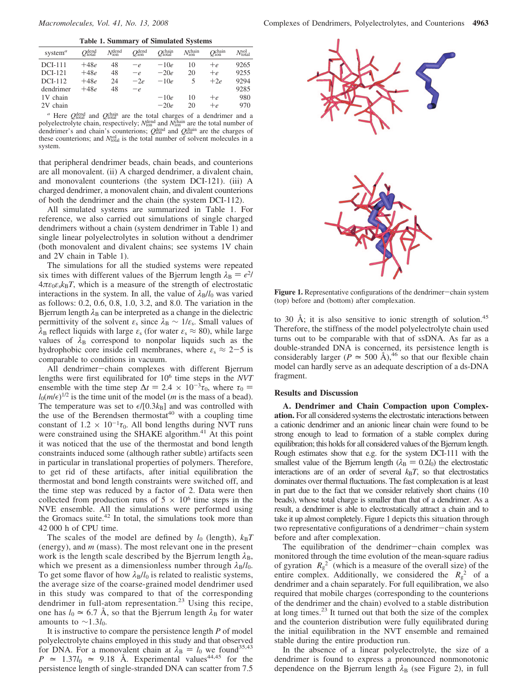**Table 1. Summary of Simulated Systems**

| system $\alpha$ | O <sub>total</sub> | N <sub>10n</sub> <sup>d</sup> | O <sub>ion</sub> <sup>d</sup> | O <sub>total</sub>                                                                                             | $N_{\rm ion}^{\rm chain}$ | O <sub>ion</sub> <sup>chain</sup> | $N_{\rm total}^{\rm sol}$ |
|-----------------|--------------------|-------------------------------|-------------------------------|----------------------------------------------------------------------------------------------------------------|---------------------------|-----------------------------------|---------------------------|
| <b>DCI-111</b>  | $+48e$             | 48                            | $-e$                          | $-10e$                                                                                                         | 10                        | $+e$                              | 9265                      |
| <b>DCI-121</b>  | $+48e$             | 48                            | $-e$                          | $-20e$                                                                                                         | 20                        | $+e$                              | 9255                      |
| <b>DCI-112</b>  | $+48e$             | 24                            | $-2e$                         | $-10e$                                                                                                         | 5                         | $+2e$                             | 9294                      |
| dendrimer       | $+48e$             | 48                            | $-e$                          |                                                                                                                |                           |                                   | 9285                      |
| 1V chain        |                    |                               |                               | $-10e$                                                                                                         | 10                        | $+$ e                             | 980                       |
| 2V chain        |                    |                               |                               | $-20e$                                                                                                         | 20                        | $+$ e                             | 970                       |
|                 |                    |                               |                               | <sup><i>a</i></sup> Here $Q_{total}^{dend}$ and $Q_{total}^{chain}$ are the total charges of a dendrimer and a |                           |                                   |                           |

polyelectrolyte chain, respectively; *N*<sup>dend</sup> and *N*<sup>chain</sup> are the total number of dendrimer's and chain's counterions;  $Q_{\text{ion}}^{\text{dend}}$  and  $Q_{\text{ion}}^{\text{chain}}$  are the charges of these counterions; and *N*<sup>total</sup> is the total number of solvent molecules in a system.

that peripheral dendrimer beads, chain beads, and counterions are all monovalent. (ii) A charged dendrimer, a divalent chain, and monovalent counterions (the system DCI-121). (iii) A charged dendrimer, a monovalent chain, and divalent counterions of both the dendrimer and the chain (the system DCI-112).

All simulated systems are summarized in Table 1. For reference, we also carried out simulations of single charged dendrimers without a chain (system dendrimer in Table 1) and single linear polyelectrolytes in solution without a dendrimer (both monovalent and divalent chains; see systems 1V chain and 2V chain in Table 1).

The simulations for all the studied systems were repeated six times with different values of the Bjerrum length  $\lambda_B = e^2/$  $4\pi\epsilon_0\epsilon_s k_B T$ , which is a measure of the strength of electrostatic interactions in the system. In all, the value of  $\lambda_B/l_0$  was varied as follows: 0.2, 0.6, 0.8, 1.0, 3.2, and 8.0. The variation in the Bjerrum length  $\lambda_B$  can be interpreted as a change in the dielectric permittivity of the solvent  $\varepsilon$ <sub>s</sub> since  $\lambda_B \sim 1/\varepsilon_s$ . Small values of  $λ$ <sub>B</sub> reflect liquids with large  $ε$ <sub>s</sub> (for water  $ε$ <sub>s</sub> ≈ 80), while large values of  $\lambda_B$  correspond to nonpolar liquids such as the hydrophobic core inside cell membranes, where  $\varepsilon$ <sub>s</sub>  $\approx$  2-5 is comparable to conditions in vacuum.

All dendrimer-chain complexes with different Bjerrum lengths were first equilibrated for 106 time steps in the *NVT* ensemble with the time step  $\Delta t = 2.4 \times 10^{-3} \tau_0$ , where  $\tau_0 =$  $l_0(m/\epsilon)^{1/2}$  is the time unit of the model (*m* is the mass of a bead). The temperature was set to  $\epsilon/[0.3k_B]$  and was controlled with the use of the Berendsen thermostat<sup>40</sup> with a coupling time constant of  $1.2 \times 10^{-1} \tau_0$ . All bond lengths during NVT runs were constrained using the SHAKE algorithm.<sup>41</sup> At this point it was noticed that the use of the thermostat and bond length constraints induced some (although rather subtle) artifacts seen in particular in translational properties of polymers. Therefore, to get rid of these artifacts, after initial equilibration the thermostat and bond length constraints were switched off, and the time step was reduced by a factor of 2. Data were then collected from production runs of  $5 \times 10^6$  time steps in the NVE ensemble. All the simulations were performed using the Gromacs suite.<sup>42</sup> In total, the simulations took more than 42 000 h of CPU time.

The scales of the model are defined by  $l_0$  (length),  $k_B T$ (energy), and *m* (mass). The most relevant one in the present work is the length scale described by the Bjerrum length  $\lambda_{\rm B}$ , which we present as a dimensionless number through  $\lambda_B/l_0$ . To get some flavor of how  $\lambda_B/l_0$  is related to realistic systems, the average size of the coarse-grained model dendrimer used in this study was compared to that of the corresponding dendrimer in full-atom representation.<sup>23</sup> Using this recipe, one has  $l_0 \approx 6.7$  Å, so that the Bjerrum length  $\lambda_B$  for water amounts to  $∼1.3l_0$ .

It is instructive to compare the persistence length *P* of model polyelectrolyte chains employed in this study and that observed for DNA. For a monovalent chain at  $\lambda_B = l_0$  we found<sup>35,43</sup>  $P \approx 1.37 l_0 \approx 9.18$  Å. Experimental values<sup>44,45</sup> for the persistence length of single-stranded DNA can scatter from 7.5





**Figure 1.** Representative configurations of the dendrimer-chain system (top) before and (bottom) after complexation.

to 30 Å; it is also sensitive to ionic strength of solution.<sup>45</sup> Therefore, the stiffness of the model polyelectrolyte chain used turns out to be comparable with that of ssDNA. As far as a double-stranded DNA is concerned, its persistence length is considerably larger ( $P \approx 500 \text{ Å}$ ),<sup>46</sup> so that our flexible chain model can hardly serve as an adequate description of a ds-DNA fragment.

#### **Results and Discussion**

**A. Dendrimer and Chain Compaction upon Complexation.** For all considered systems the electrostatic interactions between a cationic dendrimer and an anionic linear chain were found to be strong enough to lead to formation of a stable complex during equilibration; this holds for all considered values of the Bjerrum length. Rough estimates show that e.g. for the system DCI-111 with the smallest value of the Bjerrum length ( $\lambda_B = 0.2l_0$ ) the electrostatic interactions are of an order of several  $k_B T$ , so that electrostatics dominates over thermal fluctuations. The fast complexation is at least in part due to the fact that we consider relatively short chains (10 beads), whose total charge is smaller than that of a dendrimer. As a result, a dendrimer is able to electrostatically attract a chain and to take it up almost completely. Figure 1 depicts this situation through two representative configurations of a dendrimer-chain system before and after complexation.

The equilibration of the dendrimer-chain complex was monitored through the time evolution of the mean-square radius of gyration  $\langle R_g^2 \rangle$  (which is a measure of the overall size) of the entire complex. Additionally, we considered the  $\langle R_g^2 \rangle$  of a dendrimer and a chain separately. For full equilibration, we also required that mobile charges (corresponding to the counterions of the dendrimer and the chain) evolved to a stable distribution at long times.<sup>23</sup> It turned out that both the size of the complex and the counterion distribution were fully equilibrated during the initial equilibration in the NVT ensemble and remained stable during the entire production run.

In the absence of a linear polyelectrolyte, the size of a dendrimer is found to express a pronounced nonmonotonic dependence on the Bjerrum length  $\lambda_B$  (see Figure 2), in full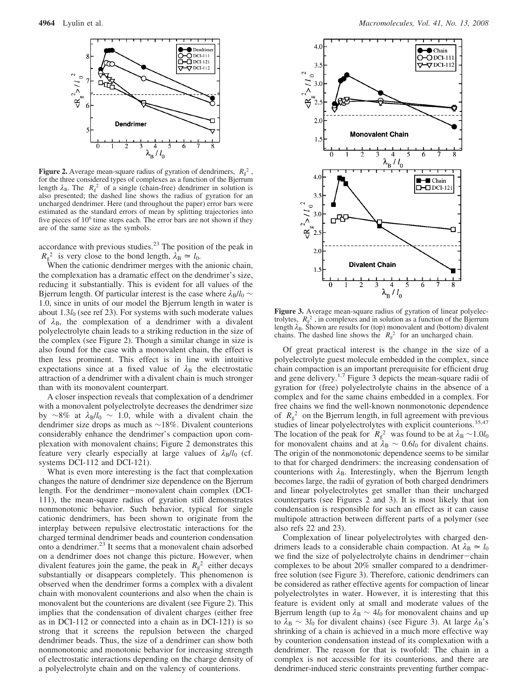

**Figure 2.** Average mean-square radius of gyration of dendrimers,  $\langle R_g^2 \rangle$ , for the three considered types of complexes as a function of the Bjerrum length  $\lambda_B$ . The  $\langle R_g^2 \rangle$  of a single (chain-free) dendrimer in solution is also presented; the dashed line shows the radius of gyration for an uncharged dendrimer. Here (and throughout the paper) error bars were estimated as the standard errors of mean by splitting trajectories into five pieces of 106 time steps each. The error bars are not shown if they are of the same size as the symbols.

accordance with previous studies.<sup>23</sup> The position of the peak in  $\langle R_{\rm g}^2 \rangle$  is very close to the bond length,  $\lambda_{\rm B} \simeq l_0$ .

When the cationic dendrimer merges with the anionic chain, the complexation has a dramatic effect on the dendrimer's size, reducing it substantially. This is evident for all values of the Bjerrum length. Of particular interest is the case where  $\lambda_B/l_0 \sim$ 1.0, since in units of our model the Bjerrum length in water is about 1.3*l*<sup>0</sup> (see ref 23). For systems with such moderate values of *λ*B, the complexation of a dendrimer with a divalent polyelectrolyte chain leads to a striking reduction in the size of the complex (see Figure 2). Though a similar change in size is also found for the case with a monovalent chain, the effect is then less prominent. This effect is in line with intuitive expectations since at a fixed value of  $\lambda_B$  the electrostatic attraction of a dendrimer with a divalent chain is much stronger than with its monovalent counterpart.

A closer inspection reveals that complexation of a dendrimer with a monovalent polyelectrolyte decreases the dendrimer size by ∼8% at *λ*B/*l*<sup>0</sup> ∼ 1.0, while with a divalent chain the dendrimer size drops as much as ∼18%. Divalent counterions considerably enhance the dendrimer's compaction upon complexation with monovalent chains; Figure 2 demonstrates this feature very clearly especially at large values of  $\lambda_B/l_0$  (cf. systems DCI-112 and DCI-121).

What is even more interesting is the fact that complexation changes the nature of dendrimer size dependence on the Bjerrum length. For the dendrimer-monovalent chain complex (DCI-111), the mean-square radius of gyration still demonstrates nonmonotonic behavior. Such behavior, typical for single cationic dendrimers, has been shown to originate from the interplay between repulsive electrostatic interactions for the charged terminal dendrimer beads and counterion condensation onto a dendrimer.23 It seems that a monovalent chain adsorbed on a dendrimer does not change this picture. However, when divalent features join the game, the peak in  $\langle R_g^2 \rangle$  either decays substantially or disappears completely. This phenomenon is observed when the dendrimer forms a complex with a divalent chain with monovalent counterions and also when the chain is monovalent but the counterions are divalent (see Figure 2). This implies that the condensation of divalent charges (either free as in DCI-112 or connected into a chain as in DCI-121) is so strong that it screens the repulsion between the charged dendrimer beads. Thus, the size of a dendrimer can show both nonmonotonic and monotonic behavior for increasing strength of electrostatic interactions depending on the charge density of a polyelectrolyte chain and on the valency of counterions.



**Figure 3.** Average mean-square radius of gyration of linear polyelectrolytes,  $\langle R_g^2 \rangle$ , in complexes and in solution as a function of the Bjerrum length  $\lambda_B$ . Shown are results for (top) monovalent and (bottom) divalent chains. The dashed line shows the  $\langle R_g^2 \rangle$  for an uncharged chain.

Of great practical interest is the change in the size of a polyelectrolyte guest molecule embedded in the complex, since chain compaction is an important prerequisite for efficient drug and gene delivery.<sup>1,7</sup> Figure 3 depicts the mean-square radii of gyration for (free) polyelectrolyte chains in the absence of a complex and for the same chains embedded in a complex. For free chains we find the well-known nonmonotonic dependence of  $\langle R_g^2 \rangle$  on the Bjerrum length, in full agreement with previous studies of linear polyelectrolytes with explicit counterions.<sup>35,47</sup> The location of the peak for  $\langle R_g^2 \rangle$  was found to be at  $\lambda_B \sim 1.0$ *l*<sub>0</sub> for monovalent chains and at  $\lambda_B \sim 0.6 l_0$  for divalent chains. The origin of the nonmonotonic dependence seems to be similar to that for charged dendrimers: the increasing condensation of counterions with  $\lambda_B$ . Interestingly, when the Bjerrum length becomes large, the radii of gyration of both charged dendrimers and linear polyelectrolytes get smaller than their uncharged counterparts (see Figures 2 and 3). It is most likely that ion condensation is responsible for such an effect as it can cause multipole attraction between different parts of a polymer (see also refs 22 and 23).

Complexation of linear polyelectrolytes with charged dendrimers leads to a considerable chain compaction. At  $\lambda_B \approx l_0$ we find the size of polyelectrolyte chains in dendrimer-chain complexes to be about 20% smaller compared to a dendrimerfree solution (see Figure 3). Therefore, cationic dendrimers can be considered as rather effective agents for compaction of linear polyelectrolytes in water. However, it is interesting that this feature is evident only at small and moderate values of the Bjerrum length (up to  $\lambda_B \sim 4l_0$  for monovalent chains and up to  $λ_B ∼ 3*l*<sub>0</sub>$  for divalent chains) (see Figure 3). At large  $λ_B$ 's shrinking of a chain is achieved in a much more effective way by counterion condensation instead of its complexation with a dendrimer. The reason for that is twofold: The chain in a complex is not accessible for its counterions, and there are dendrimer-induced steric constraints preventing further compac-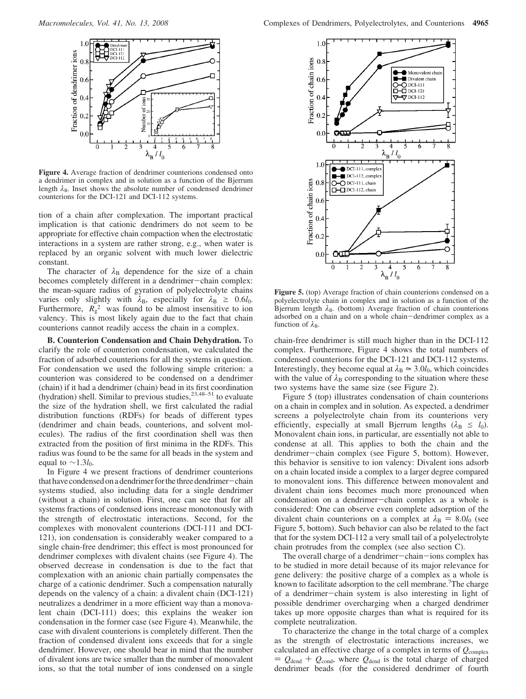

**Figure 4.** Average fraction of dendrimer counterions condensed onto a dendrimer in complex and in solution as a function of the Bjerrum length  $\lambda_B$ . Inset shows the absolute number of condensed dendrimer counterions for the DCI-121 and DCI-112 systems.

tion of a chain after complexation. The important practical implication is that cationic dendrimers do not seem to be appropriate for effective chain compaction when the electrostatic interactions in a system are rather strong, e.g., when water is replaced by an organic solvent with much lower dielectric constant.

The character of  $\lambda_B$  dependence for the size of a chain becomes completely different in a dendrimer-chain complex: the mean-square radius of gyration of polyelectrolyte chains varies only slightly with  $\lambda_B$ , especially for  $\lambda_B \geq 0.6l_0$ . Furthermore,  $\langle R_g^2 \rangle$  was found to be almost insensitive to ion valency. This is most likely again due to the fact that chain counterions cannot readily access the chain in a complex.

**B. Counterion Condensation and Chain Dehydration.** To clarify the role of counterion condensation, we calculated the fraction of adsorbed counterions for all the systems in question. For condensation we used the following simple criterion: a counterion was considered to be condensed on a dendrimer (chain) if it had a dendrimer (chain) bead in its first coordination (hydration) shell. Similar to previous studies,  $2^{3,48-51}$  to evaluate the size of the hydration shell, we first calculated the radial distribution functions (RDFs) for beads of different types (dendrimer and chain beads, counterions, and solvent molecules). The radius of the first coordination shell was then extracted from the position of first minima in the RDFs. This radius was found to be the same for all beads in the system and equal to  $\sim$ 1.3*l*<sub>0</sub>.

In Figure 4 we present fractions of dendrimer counterions that have condensed on a dendrimer for the three dendrimer-chain systems studied, also including data for a single dendrimer (without a chain) in solution. First, one can see that for all systems fractions of condensed ions increase monotonously with the strength of electrostatic interactions. Second, for the complexes with monovalent counterions (DCI-111 and DCI-121), ion condensation is considerably weaker compared to a single chain-free dendrimer; this effect is most pronounced for dendrimer complexes with divalent chains (see Figure 4). The observed decrease in condensation is due to the fact that complexation with an anionic chain partially compensates the charge of a cationic dendrimer. Such a compensation naturally depends on the valency of a chain: a divalent chain (DCI-121) neutralizes a dendrimer in a more efficient way than a monovalent chain (DCI-111) does; this explains the weaker ion condensation in the former case (see Figure 4). Meanwhile, the case with divalent counterions is completely different. Then the fraction of condensed divalent ions exceeds that for a single dendrimer. However, one should bear in mind that the number of divalent ions are twice smaller than the number of monovalent ions, so that the total number of ions condensed on a single



**Figure 5.** (top) Average fraction of chain counterions condensed on a polyelectrolyte chain in complex and in solution as a function of the Bjerrum length  $\lambda_B$ . (bottom) Average fraction of chain counterions adsorbed on a chain and on a whole chain-dendrimer complex as a function of  $\lambda_{\rm B}$ .

chain-free dendrimer is still much higher than in the DCI-112 complex. Furthermore, Figure 4 shows the total numbers of condensed counterions for the DCI-121 and DCI-112 systems. Interestingly, they become equal at  $\lambda_B \approx 3.0 l_0$ , which coincides with the value of  $\lambda_B$  corresponding to the situation where these two systems have the same size (see Figure 2).

Figure 5 (top) illustrates condensation of chain counterions on a chain in complex and in solution. As expected, a dendrimer screens a polyelectrolyte chain from its counterions very efficiently, especially at small Bjerrum lengths ( $\lambda_B \leq l_0$ ). Monovalent chain ions, in particular, are essentially not able to condense at all. This applies to both the chain and the dendrimer-chain complex (see Figure 5, bottom). However, this behavior is sensitive to ion valency: Divalent ions adsorb on a chain located inside a complex to a larger degree compared to monovalent ions. This difference between monovalent and divalent chain ions becomes much more pronounced when condensation on a dendrimer-chain complex as a whole is considered: One can observe even complete adsorption of the divalent chain counterions on a complex at  $\lambda_B = 8.0 l_0$  (see Figure 5, bottom). Such behavior can also be related to the fact that for the system DCI-112 a very small tail of a polyelectrolyte chain protrudes from the complex (see also section C).

The overall charge of a dendrimer-chain-ions complex has to be studied in more detail because of its major relevance for gene delivery: the positive charge of a complex as a whole is known to facilitate adsorption to the cell membrane.<sup>7</sup>The charge of a dendrimer-chain system is also interesting in light of possible dendrimer overcharging when a charged dendrimer takes up more opposite charges than what is required for its complete neutralization.

To characterize the change in the total charge of a complex as the strength of electrostatic interactions increases, we calculated an effective charge of a complex in terms of *Q*complex  $= Q_{\text{dend}} + Q_{\text{cond}}$ , where  $Q_{\text{dend}}$  is the total charge of charged dendrimer beads (for the considered dendrimer of fourth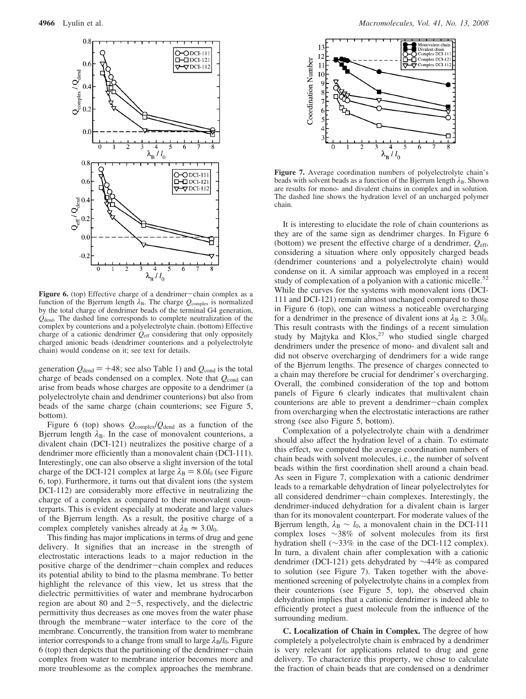

**Figure 6.** (top) Effective charge of a dendrimer-chain complex as a function of the Bjerrum length  $\lambda_B$ . The charge  $Q_{\text{complex}}$  is normalized by the total charge of dendrimer beads of the terminal G4 generation, *Q*dend. The dashed line corresponds to complete neutralization of the complex by counterions and a polyelectrolyte chain. (bottom) Effective charge of a cationic dendrimer  $Q_{\text{eff}}$  considering that only oppositely charged anionic beads (dendrimer counterions and a polyelectrolyte chain) would condense on it; see text for details.

generation  $Q_{\text{dend}} = +48$ ; see also Table 1) and  $Q_{\text{cond}}$  is the total charge of beads condensed on a complex. Note that  $Q_{\text{cond}}$  can arise from beads whose charges are opposite to a dendrimer (a polyelectrolyte chain and dendrimer counterions) but also from beads of the same charge (chain counterions; see Figure 5, bottom).

Figure 6 (top) shows *Q*complex/*Q*dend as a function of the Bjerrum length  $\lambda_B$ . In the case of monovalent counterions, a divalent chain (DCI-121) neutralizes the positive charge of a dendrimer more efficiently than a monovalent chain (DCI-111). Interestingly, one can also observe a slight inversion of the total charge of the DCI-121 complex at large  $\lambda_B = 8.0$ *l*<sub>0</sub> (see Figure 6, top). Furthermore, it turns out that divalent ions (the system DCI-112) are considerably more effective in neutralizing the charge of a complex as compared to their monovalent counterparts. This is evident especially at moderate and large values of the Bjerrum length. As a result, the positive charge of a complex completely vanishes already at  $\lambda_B \approx 3.0 l_0$ .

This finding has major implications in terms of drug and gene delivery. It signifies that an increase in the strength of electrostatic interactions leads to a major reduction in the positive charge of the dendrimer-chain complex and reduces its potential ability to bind to the plasma membrane. To better highlight the relevance of this view, let us stress that the dielectric permittivities of water and membrane hydrocarbon region are about 80 and  $2-5$ , respectively, and the dielectric permittivity thus decreases as one moves from the water phase through the membrane-water interface to the core of the membrane. Concurrently, the transition from water to membrane interior corresponds to a change from small to large  $\lambda_B/l_0$ . Figure 6 (top) then depicts that the partitioning of the dendrimer-chain complex from water to membrane interior becomes more and more troublesome as the complex approaches the membrane.



**Figure 7.** Average coordination numbers of polyelectrolyte chain's beads with solvent beads as a function of the Bjerrum length  $\lambda_B$ . Shown are results for mono- and divalent chains in complex and in solution. The dashed line shows the hydration level of an uncharged polymer chain.

It is interesting to elucidate the role of chain counterions as they are of the same sign as dendrimer charges. In Figure 6 (bottom) we present the effective charge of a dendrimer, *Q*eff, considering a situation where only oppositely charged beads (dendrimer counterions and a polyelectrolyte chain) would condense on it. A similar approach was employed in a recent study of complexation of a polyanion with a cationic micelle.<sup>52</sup> While the curves for the systems with monovalent ions (DCI-111 and DCI-121) remain almost unchanged compared to those in Figure 6 (top), one can witness a noticeable overcharging for a dendrimer in the presence of divalent ions at  $\lambda_B \geq 3.0l_0$ . This result contrasts with the findings of a recent simulation study by Majtyka and  $K \log^{27}$  who studied single charged dendrimers under the presence of mono- and divalent salt and did not observe overcharging of dendrimers for a wide range of the Bjerrum lengths. The presence of charges connected to a chain may therefore be crucial for dendrimer's overcharging. Overall, the combined consideration of the top and bottom panels of Figure 6 clearly indicates that multivalent chain counterions are able to prevent a dendrimer-chain complex from overcharging when the electrostatic interactions are rather strong (see also Figure 5, bottom).

Complexation of a polyelectrolyte chain with a dendrimer should also affect the hydration level of a chain. To estimate this effect, we computed the average coordination numbers of chain beads with solvent molecules, i.e., the number of solvent beads within the first coordination shell around a chain bead. As seen in Figure 7, complexation with a cationic dendrimer leads to a remarkable dehydration of linear polyelectrolytes for all considered dendrimer-chain complexes. Interestingly, the dendrimer-induced dehydration for a divalent chain is larger than for its monovalent counterpart. For moderate values of the Bjerrum length,  $\lambda_B \sim l_0$ , a monovalent chain in the DCI-111 complex loses ∼38% of solvent molecules from its first hydration shell (∼33% in the case of the DCI-112 complex). In turn, a divalent chain after complexation with a cationic dendrimer (DCI-121) gets dehydrated by ∼44% as compared to solution (see Figure 7). Taken together with the abovementioned screening of polyelectrolyte chains in a complex from their counterions (see Figure 5, top), the observed chain dehydration implies that a cationic dendrimer is indeed able to efficiently protect a guest molecule from the influence of the surrounding medium.

**C. Localization of Chain in Complex.** The degree of how completely a polyelectrolyte chain is embraced by a dendrimer is very relevant for applications related to drug and gene delivery. To characterize this property, we chose to calculate the fraction of chain beads that are condensed on a dendrimer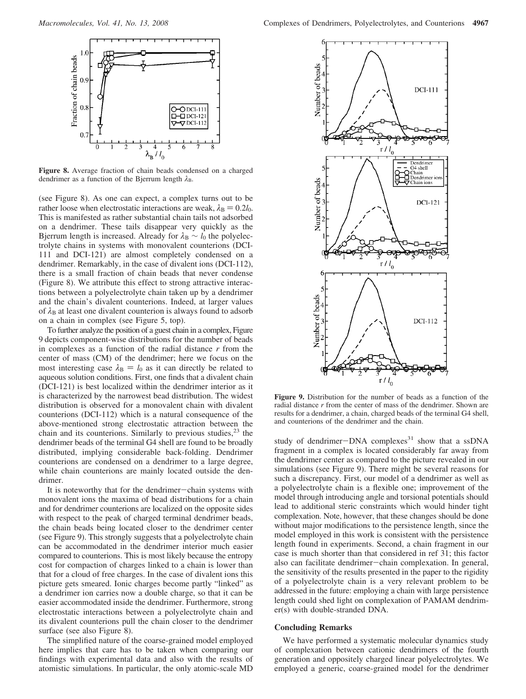

**Figure 8.** Average fraction of chain beads condensed on a charged dendrimer as a function of the Bjerrum length  $λ$ <sub>B</sub>.

(see Figure 8). As one can expect, a complex turns out to be rather loose when electrostatic interactions are weak,  $\lambda_B = 0.2l_0$ . This is manifested as rather substantial chain tails not adsorbed on a dendrimer. These tails disappear very quickly as the Bjerrum length is increased. Already for  $\lambda_B \sim l_0$  the polyelectrolyte chains in systems with monovalent counterions (DCI-111 and DCI-121) are almost completely condensed on a dendrimer. Remarkably, in the case of divalent ions (DCI-112), there is a small fraction of chain beads that never condense (Figure 8). We attribute this effect to strong attractive interactions between a polyelectrolyte chain taken up by a dendrimer and the chain's divalent counterions. Indeed, at larger values of  $\lambda_B$  at least one divalent counterion is always found to adsorb on a chain in complex (see Figure 5, top).

To further analyze the position of a guest chain in a complex, Figure 9 depicts component-wise distributions for the number of beads in complexes as a function of the radial distance *r* from the center of mass (CM) of the dendrimer; here we focus on the most interesting case  $\lambda_B = l_0$  as it can directly be related to aqueous solution conditions. First, one finds that a divalent chain (DCI-121) is best localized within the dendrimer interior as it is characterized by the narrowest bead distribution. The widest distribution is observed for a monovalent chain with divalent counterions (DCI-112) which is a natural consequence of the above-mentioned strong electrostatic attraction between the chain and its counterions. Similarly to previous studies, $2<sup>3</sup>$  the dendrimer beads of the terminal G4 shell are found to be broadly distributed, implying considerable back-folding. Dendrimer counterions are condensed on a dendrimer to a large degree, while chain counterions are mainly located outside the dendrimer.

It is noteworthy that for the dendrimer-chain systems with monovalent ions the maxima of bead distributions for a chain and for dendrimer counterions are localized on the opposite sides with respect to the peak of charged terminal dendrimer beads, the chain beads being located closer to the dendrimer center (see Figure 9). This strongly suggests that a polyelectrolyte chain can be accommodated in the dendrimer interior much easier compared to counterions. This is most likely because the entropy cost for compaction of charges linked to a chain is lower than that for a cloud of free charges. In the case of divalent ions this picture gets smeared. Ionic charges become partly "linked" as a dendrimer ion carries now a double charge, so that it can be easier accommodated inside the dendrimer. Furthermore, strong electrostatic interactions between a polyelectrolyte chain and its divalent counterions pull the chain closer to the dendrimer surface (see also Figure 8).

The simplified nature of the coarse-grained model employed here implies that care has to be taken when comparing our findings with experimental data and also with the results of atomistic simulations. In particular, the only atomic-scale MD



**Figure 9.** Distribution for the number of beads as a function of the radial distance *r* from the center of mass of the dendrimer. Shown are results for a dendrimer, a chain, charged beads of the terminal G4 shell, and counterions of the dendrimer and the chain.

study of dendrimer-DNA complexes<sup>31</sup> show that a ssDNA fragment in a complex is located considerably far away from the dendrimer center as compared to the picture revealed in our simulations (see Figure 9). There might be several reasons for such a discrepancy. First, our model of a dendrimer as well as a polyelectrolyte chain is a flexible one; improvement of the model through introducing angle and torsional potentials should lead to additional steric constraints which would hinder tight complexation. Note, however, that these changes should be done without major modifications to the persistence length, since the model employed in this work is consistent with the persistence length found in experiments. Second, a chain fragment in our case is much shorter than that considered in ref 31; this factor also can facilitate dendrimer-chain complexation. In general, the sensitivity of the results presented in the paper to the rigidity of a polyelectrolyte chain is a very relevant problem to be addressed in the future: employing a chain with large persistence length could shed light on complexation of PAMAM dendrimer(s) with double-stranded DNA.

### **Concluding Remarks**

We have performed a systematic molecular dynamics study of complexation between cationic dendrimers of the fourth generation and oppositely charged linear polyelectrolytes. We employed a generic, coarse-grained model for the dendrimer